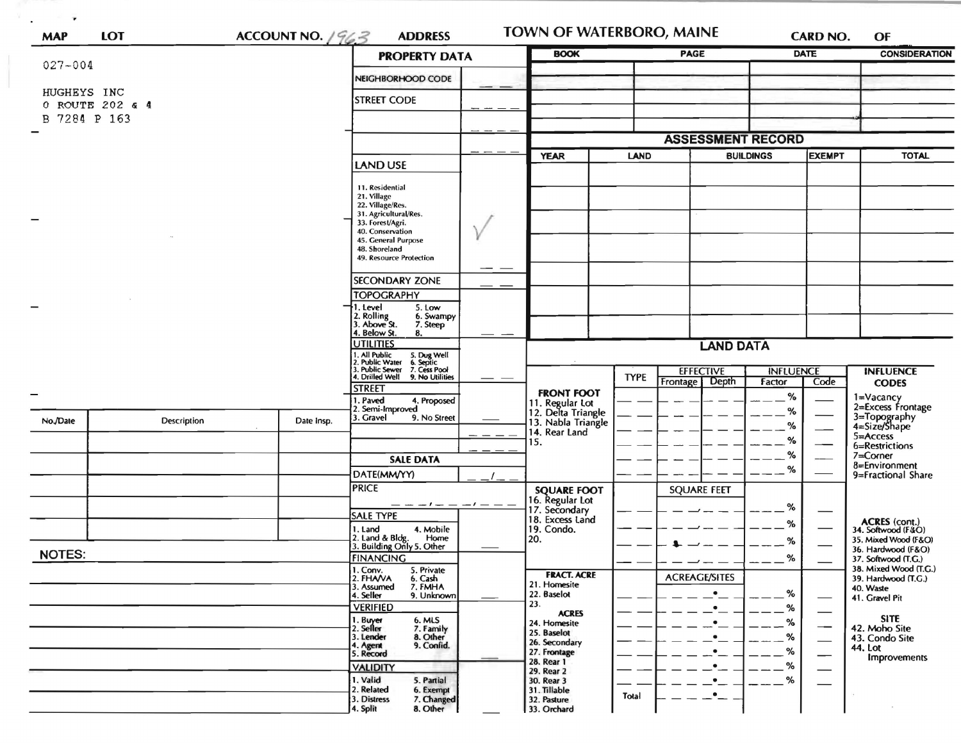| $027 - 004$     |                 |                                                                                                                                       | <b>PROPERTY DATA</b>                                                                                                                                                                   |    | <b>BOOK</b>                                                                         |                                                     | <b>PAGE</b>              |                  | <b>DATE</b> |                                              | <b>CONSIDERATION</b>                            |
|-----------------|-----------------|---------------------------------------------------------------------------------------------------------------------------------------|----------------------------------------------------------------------------------------------------------------------------------------------------------------------------------------|----|-------------------------------------------------------------------------------------|-----------------------------------------------------|--------------------------|------------------|-------------|----------------------------------------------|-------------------------------------------------|
|                 |                 |                                                                                                                                       | NEIGHBORHOOD CODE                                                                                                                                                                      |    |                                                                                     |                                                     |                          |                  |             |                                              |                                                 |
| HUGHEYS INC     | 0 ROUTE 202 & 4 |                                                                                                                                       |                                                                                                                                                                                        |    |                                                                                     |                                                     |                          |                  |             |                                              |                                                 |
| 7284 P 163<br>В |                 |                                                                                                                                       |                                                                                                                                                                                        |    |                                                                                     |                                                     |                          |                  |             |                                              |                                                 |
|                 |                 |                                                                                                                                       |                                                                                                                                                                                        |    |                                                                                     |                                                     | <b>ASSESSMENT RECORD</b> |                  |             |                                              |                                                 |
|                 |                 |                                                                                                                                       | <b>LAND USE</b>                                                                                                                                                                        |    | <b>YEAR</b>                                                                         | <b>LAND</b>                                         |                          | <b>BUILDINGS</b> |             | <b>ІЕХЕМРТ</b>                               | <b>TOTAL</b>                                    |
|                 |                 |                                                                                                                                       | 11. Residential<br>21. Village<br>22. Village/Res.<br>31. Agricultural/Res.<br>33. Forest/Agri.<br>40. Conservation<br>45. General Purpose<br>48. Shoreland<br>49. Resource Protection |    |                                                                                     |                                                     |                          |                  |             |                                              |                                                 |
|                 |                 |                                                                                                                                       | <b>SECONDARY ZONE</b>                                                                                                                                                                  | __ |                                                                                     |                                                     |                          |                  |             |                                              |                                                 |
|                 |                 |                                                                                                                                       | <b>TOPOGRAPHY</b>                                                                                                                                                                      |    |                                                                                     |                                                     |                          |                  |             |                                              |                                                 |
|                 |                 |                                                                                                                                       | 5. Low<br>1. Level<br>2. Rolling<br>3. Above St.<br>6. Swampy<br>7. Steep                                                                                                              |    |                                                                                     |                                                     |                          |                  |             |                                              |                                                 |
|                 |                 |                                                                                                                                       | 4. Below St.<br>8.<br><b>UTILITIES</b>                                                                                                                                                 |    | <b>LAND DATA</b>                                                                    |                                                     |                          |                  |             |                                              |                                                 |
|                 |                 | 1. All Public<br>2. Public Water<br>3. Public Sewer<br>4. Drilled Well<br>5. Dug Well<br>6. Septic<br>7. Cess Pool<br>9. No Utilities |                                                                                                                                                                                        |    |                                                                                     | <b>EFFECTIVE</b><br><b>INFLUENCE</b><br><b>TYPE</b> |                          |                  |             | <b>INFLUENCE</b>                             |                                                 |
|                 |                 |                                                                                                                                       | <b>STREET</b>                                                                                                                                                                          |    | <b>FRONT FOOT</b>                                                                   |                                                     | Frontage                 | Depth            | Factor      | Code                                         | <b>CODES</b>                                    |
|                 |                 |                                                                                                                                       | 1. Paved<br>4. Proposed<br>2. Semi-Improved                                                                                                                                            |    | 11. Regular Lot<br>12. Delta Triangle<br>13. Nabla Triangle<br>14. Rear Land<br>15. |                                                     |                          |                  | $\%$<br>%   | 1=Vacancy<br>2=Excess Frontage               |                                                 |
| No./Date        | Description     | Date Insp.                                                                                                                            | 3. Gravel<br>9. No Street                                                                                                                                                              |    |                                                                                     |                                                     |                          |                  | %           |                                              | 3=Topography<br>4=Size/Shape                    |
|                 |                 |                                                                                                                                       |                                                                                                                                                                                        |    |                                                                                     |                                                     |                          |                  | %           | $5 =$ Access                                 | 6=Restrictions                                  |
|                 |                 |                                                                                                                                       | <b>SALE DATA</b>                                                                                                                                                                       |    |                                                                                     |                                                     |                          |                  | $\%$        |                                              | 7=Corner<br>8=Environment<br>9=Fractional Share |
|                 |                 |                                                                                                                                       | DATE(MM/YY)                                                                                                                                                                            |    |                                                                                     |                                                     |                          |                  | %           |                                              |                                                 |
|                 |                 |                                                                                                                                       | <b>PRICE</b>                                                                                                                                                                           |    | <b>SQUARE FOOT</b>                                                                  |                                                     | <b>SQUARE FEET</b>       |                  |             |                                              |                                                 |
|                 |                 |                                                                                                                                       |                                                                                                                                                                                        |    | 16. Regular Lot                                                                     |                                                     |                          |                  | %           |                                              |                                                 |
|                 |                 |                                                                                                                                       | SALE TYPE                                                                                                                                                                              |    | 17. Secondary<br>18. Excess Land                                                    |                                                     |                          |                  |             |                                              |                                                 |
|                 |                 |                                                                                                                                       | 1. Land<br>4. Mobile<br>2. Land & Bldg.<br>Home                                                                                                                                        |    | 19. Condo.                                                                          |                                                     |                          |                  | %           |                                              | ACRES (cont.)<br>34. Softwood (F&O)             |
|                 |                 |                                                                                                                                       | 3. Building Only 5. Other                                                                                                                                                              |    | 20.                                                                                 |                                                     |                          |                  | %           |                                              | 35. Mixed Wood (F&O)<br>36. Hardwood (F&O)      |
| <b>NOTES:</b>   |                 | <b>FINANCING</b>                                                                                                                      |                                                                                                                                                                                        |    |                                                                                     |                                                     |                          | ℅                |             | 37. Softwood (T.G.)<br>38. Mixed Wood (T.G.) |                                                 |
|                 |                 |                                                                                                                                       | 1. Conv.<br>5. Private<br>2. FHAVA<br>6. Cash                                                                                                                                          |    | <b>FRACT. ACRE</b><br>21. Homesite                                                  |                                                     | <b>ACREAGE/SITES</b>     |                  |             |                                              | 39. Hardwood (T.G.)                             |
|                 |                 |                                                                                                                                       | 7. FMHA<br>3. Assumed<br>4. Seller<br>9. Unknown                                                                                                                                       |    | 22. Baselot                                                                         |                                                     | $\bullet$                |                  | %           |                                              | 40. Waste<br>41. Gravel Pit                     |
|                 |                 |                                                                                                                                       | <b>VERIFIED</b>                                                                                                                                                                        |    | 23.<br><b>ACRES</b>                                                                 |                                                     |                          |                  | %           | $\overbrace{\phantom{aaaaa}}$                |                                                 |
|                 |                 |                                                                                                                                       | 1. Buyer<br>2. Seller<br>6. MLS<br>7. Family                                                                                                                                           |    | 24. Homesite                                                                        |                                                     |                          |                  | %           | $\hspace{0.05cm}$                            | <b>SITE</b><br>42. Moho Site                    |
|                 |                 |                                                                                                                                       | 8. Other<br>3. Lender<br>9. Confid.                                                                                                                                                    |    | 25. Baselot<br>26. Secondary                                                        |                                                     |                          |                  | %           | $\overline{\phantom{0}}$                     | 43. Condo Site                                  |
|                 |                 |                                                                                                                                       | 4. Agent<br>5. Record                                                                                                                                                                  |    | 27. Frontage                                                                        |                                                     |                          |                  | %           |                                              | 44. Lot<br><b>Improvements</b>                  |
|                 |                 |                                                                                                                                       | <b>VALIDITY</b>                                                                                                                                                                        |    | 28. Rear 1<br>29. Rear 2                                                            |                                                     |                          |                  | ℅           |                                              |                                                 |
|                 |                 |                                                                                                                                       | 1. Valid<br>5. Partial<br>2. Related<br>6. Exempt                                                                                                                                      |    | 30. Rear 3<br>31. Tillable                                                          |                                                     |                          |                  | %           |                                              |                                                 |
|                 |                 |                                                                                                                                       |                                                                                                                                                                                        |    |                                                                                     |                                                     |                          |                  |             |                                              |                                                 |